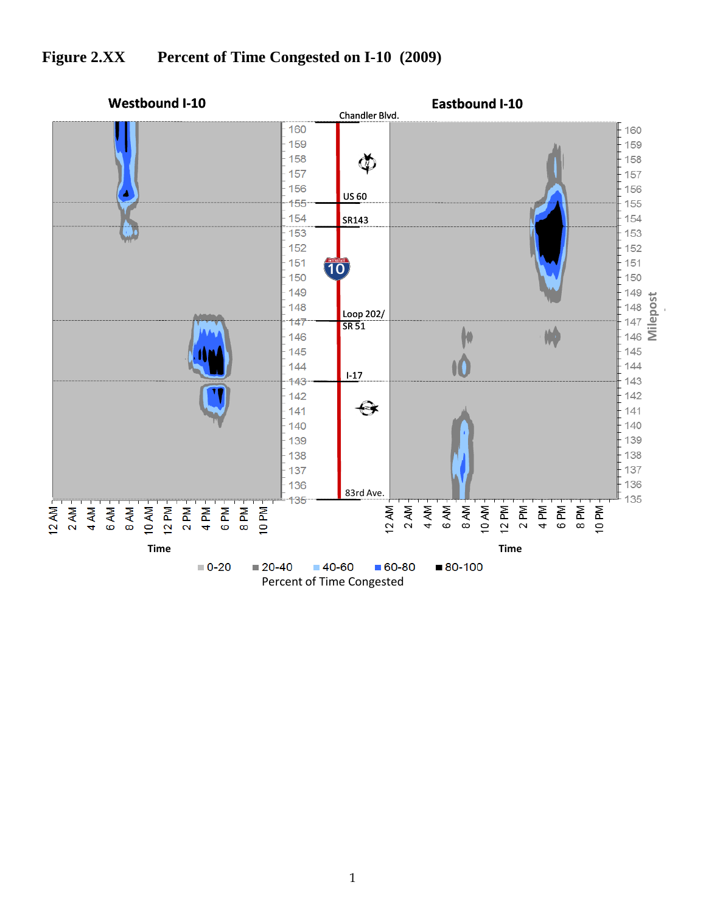

## **Figure 2.XX Percent of Time Congested on I-10 (2009)**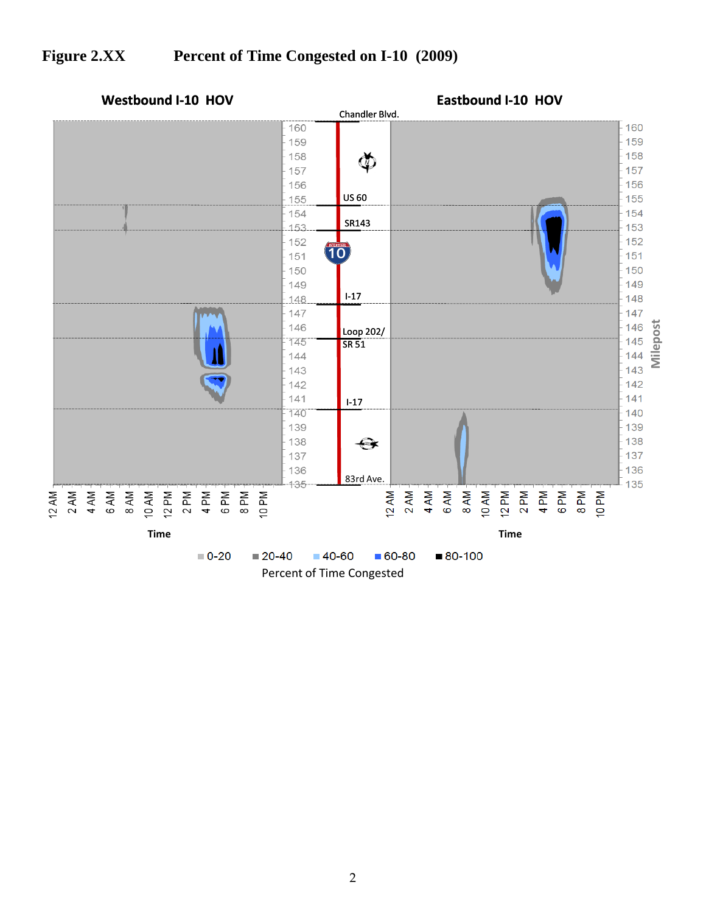## **Figure 2.XX Percent of Time Congested on I-10 (2009)**

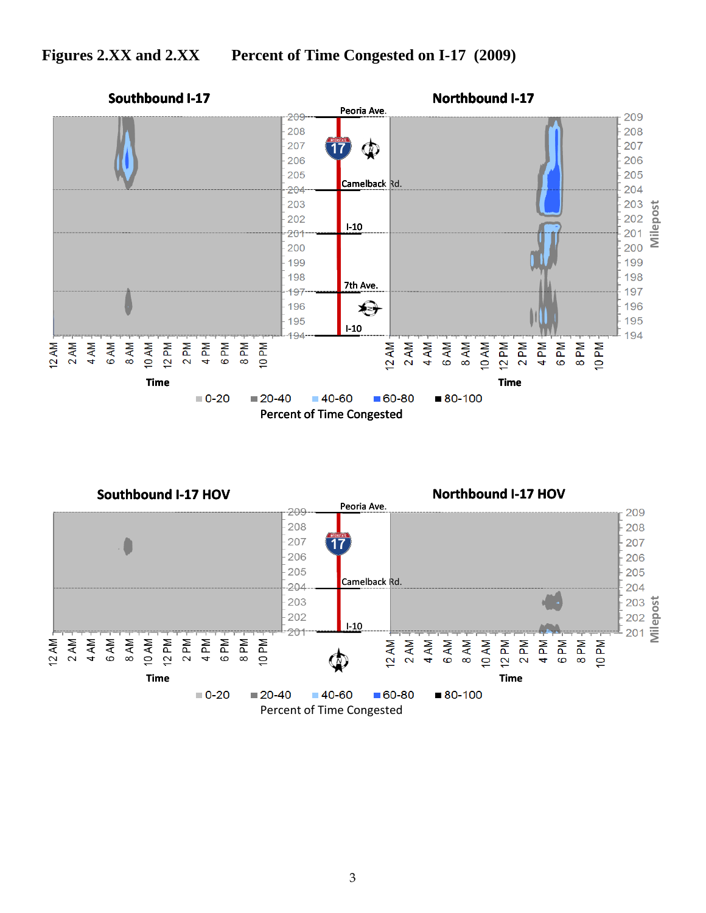

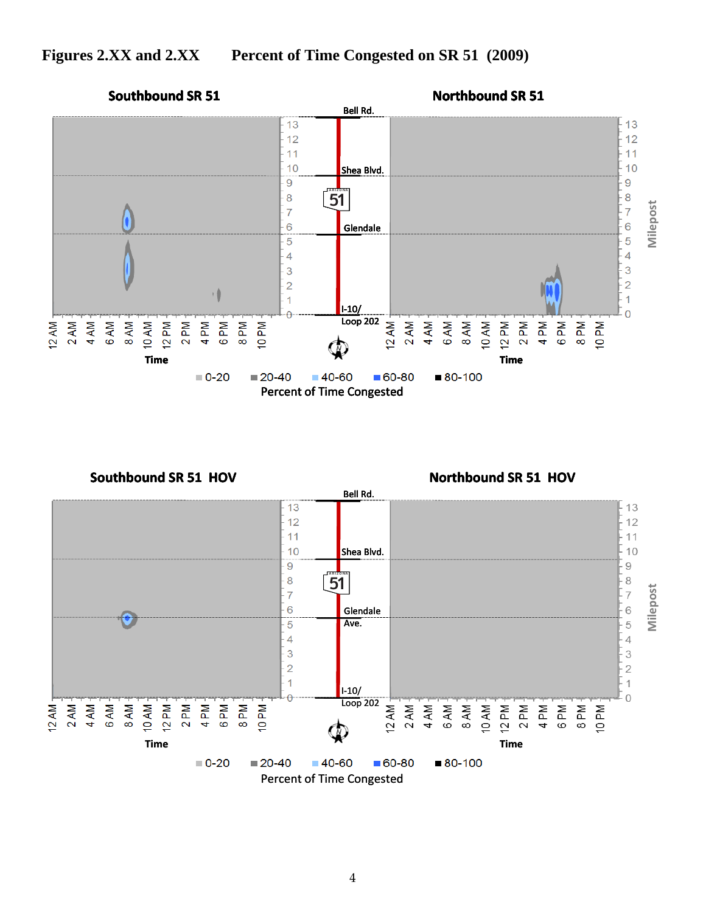## **Figures 2.XX and 2.XX Percent of Time Congested on SR 51 (2009)**





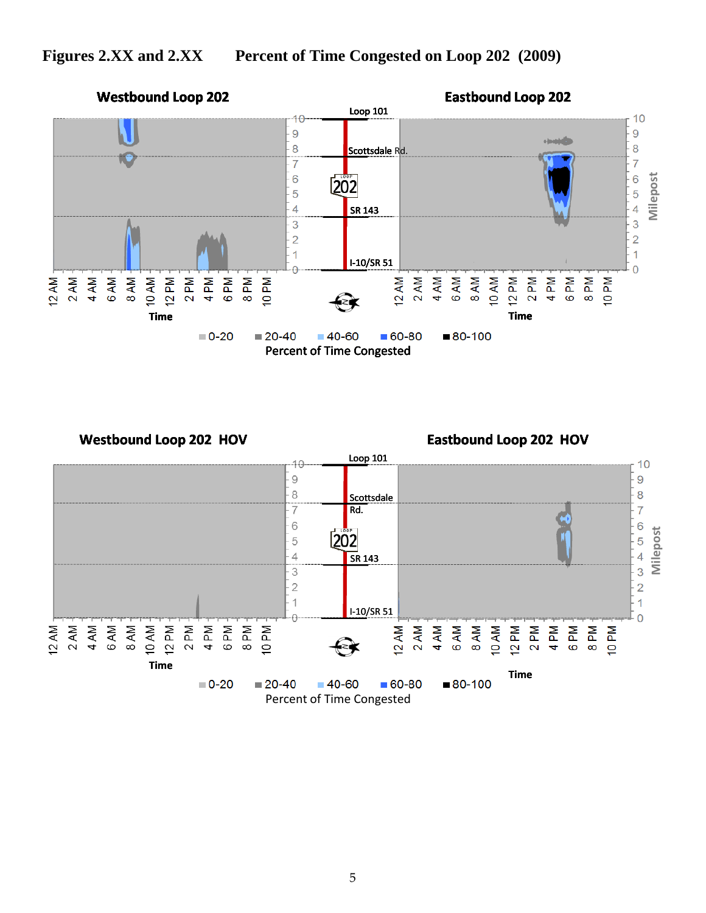

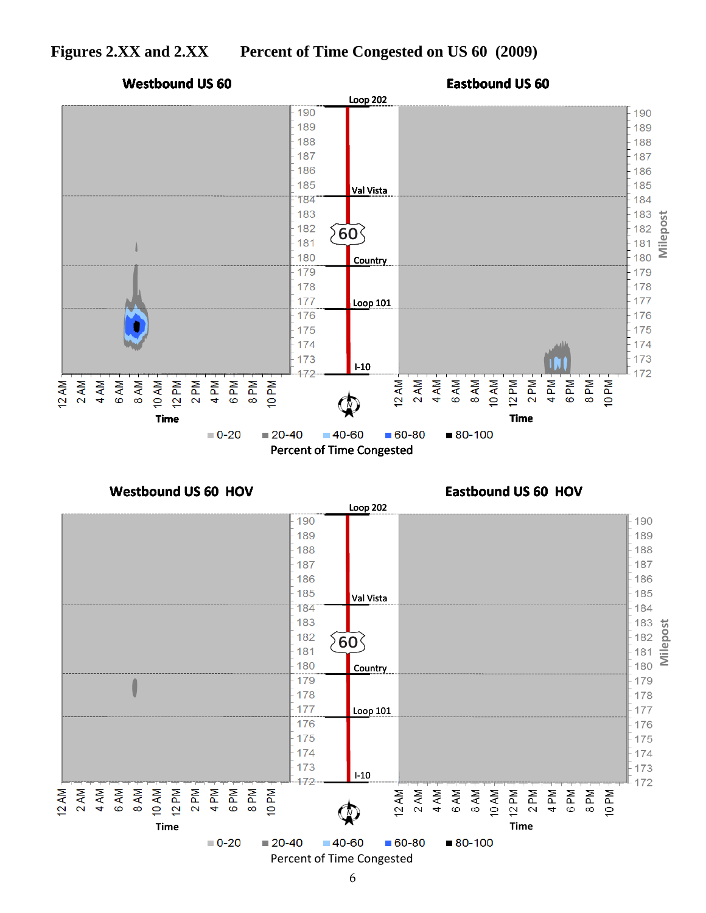



6